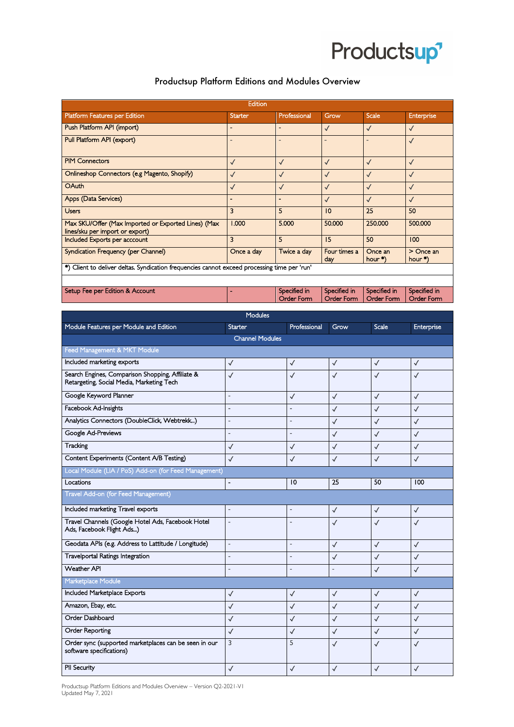

## Productsup Platform Editions and Modules Overview

| Edition                                                                                      |                          |                                   |                            |                            |                            |  |  |
|----------------------------------------------------------------------------------------------|--------------------------|-----------------------------------|----------------------------|----------------------------|----------------------------|--|--|
| Platform Features per Edition                                                                | <b>Starter</b>           | Professional                      | Grow                       | Scale                      | Enterprise                 |  |  |
| Push Platform API (import)                                                                   | $\overline{\phantom{a}}$ | $\overline{a}$                    | $\checkmark$               | $\checkmark$               | $\checkmark$               |  |  |
| Pull Platform API (export)                                                                   |                          | $\overline{a}$                    |                            |                            | $\checkmark$               |  |  |
| <b>PIM Connectors</b>                                                                        | $\checkmark$             | $\checkmark$                      | $\checkmark$               | $\checkmark$               | $\checkmark$               |  |  |
| Onlineshop Connectors (e.g Magento, Shopify)                                                 | $\checkmark$             | $\checkmark$                      | $\checkmark$               | $\checkmark$               | $\checkmark$               |  |  |
| OAuth                                                                                        | $\checkmark$             | $\checkmark$                      | $\sqrt{2}$                 | $\checkmark$               | $\checkmark$               |  |  |
| Apps (Data Services)                                                                         | ٠                        | $\overline{a}$                    | ✓                          | $\checkmark$               | $\checkmark$               |  |  |
| <b>Users</b>                                                                                 | 3                        | 5                                 | $\overline{0}$             | 25                         | 50                         |  |  |
| Max SKU/Offer (Max Imported or Exported Lines) (Max<br>lines/sku per import or export)       | 1.000                    | 5.000                             | 50,000                     | 250.000                    | 500.000                    |  |  |
| Included Exports per acccount                                                                | 3                        | 5                                 | 15                         | 50                         | 100                        |  |  |
| Syndication Frequency (per Channel)                                                          | Once a day               | Twice a day                       | Four times a<br>day        | Once an<br>hour $*)$       | $>$ Once an<br>hour $*)$   |  |  |
| *) Client to deliver deltas. Syndication frequencies cannot exceed processing time per 'run' |                          |                                   |                            |                            |                            |  |  |
|                                                                                              |                          |                                   |                            |                            |                            |  |  |
| Setup Fee per Edition & Account                                                              |                          | Specified in<br><b>Order Form</b> | Specified in<br>Order Form | Specified in<br>Order Form | Specified in<br>Order Form |  |  |

| <b>Modules</b>                                                                                |                |                          |                          |              |              |  |  |
|-----------------------------------------------------------------------------------------------|----------------|--------------------------|--------------------------|--------------|--------------|--|--|
| Module Features per Module and Edition                                                        | Starter        | Professional             | Grow                     | Scale        | Enterprise   |  |  |
| <b>Channel Modules</b>                                                                        |                |                          |                          |              |              |  |  |
| Feed Management & MKT Module                                                                  |                |                          |                          |              |              |  |  |
| Included marketing exports                                                                    | $\checkmark$   | $\checkmark$             | $\checkmark$             | $\checkmark$ | $\checkmark$ |  |  |
| Search Engines, Comparison Shopping, Affiliate &<br>Retargeting, Social Media, Marketing Tech | $\checkmark$   | ✓                        | ✓                        | ✓            | $\checkmark$ |  |  |
| Google Keyword Planner                                                                        | $\overline{a}$ | $\checkmark$             | $\checkmark$             | $\checkmark$ | $\checkmark$ |  |  |
| Facebook Ad-Insights                                                                          | $\overline{a}$ | $\overline{a}$           | $\checkmark$             | $\checkmark$ | $\checkmark$ |  |  |
| Analytics Connectors (DoubleClick, Webtrekk)                                                  | L.             | ÷,                       | $\checkmark$             | $\checkmark$ | $\checkmark$ |  |  |
| Google Ad-Previews                                                                            | ä,             | $\overline{\phantom{0}}$ | $\checkmark$             | $\checkmark$ | $\checkmark$ |  |  |
| Tracking                                                                                      | $\checkmark$   | $\checkmark$             | $\checkmark$             | $\checkmark$ | $\checkmark$ |  |  |
| Content Experiments (Content A/B Testing)                                                     | $\checkmark$   | $\checkmark$             | $\checkmark$             | $\checkmark$ | $\checkmark$ |  |  |
| Local Module (LIA / PoS) Add-on (for Feed Management)                                         |                |                          |                          |              |              |  |  |
| Locations                                                                                     | L,             | 10                       | 25                       | 50           | 100          |  |  |
| Travel Add-on (for Feed Management)                                                           |                |                          |                          |              |              |  |  |
| Included marketing Travel exports                                                             | ÷,             | $\overline{a}$           | $\checkmark$             | $\checkmark$ | $\checkmark$ |  |  |
| Travel Channels (Google Hotel Ads, Facebook Hotel<br>Ads, Facebook Flight Ads)                | $\overline{a}$ | $\overline{a}$           | $\checkmark$             | $\checkmark$ | $\checkmark$ |  |  |
| Geodata APIs (e.g. Address to Lattitude / Longitude)                                          | L,             | $\overline{a}$           | $\checkmark$             | $\checkmark$ | $\checkmark$ |  |  |
| <b>Travelportal Ratings Integration</b>                                                       | $\overline{a}$ | $\overline{a}$           | $\checkmark$             | $\checkmark$ | $\checkmark$ |  |  |
| <b>Weather API</b>                                                                            | $\overline{a}$ | $\overline{a}$           | $\overline{\phantom{a}}$ | $\checkmark$ | $\checkmark$ |  |  |
| Marketplace Module                                                                            |                |                          |                          |              |              |  |  |
| Included Marketplace Exports                                                                  | $\checkmark$   | $\checkmark$             | $\checkmark$             | $\checkmark$ | $\checkmark$ |  |  |
| Amazon, Ebay, etc.                                                                            | $\checkmark$   | $\checkmark$             | $\checkmark$             | $\checkmark$ | $\checkmark$ |  |  |
| Order Dashboard                                                                               | $\checkmark$   | $\checkmark$             | $\checkmark$             | $\checkmark$ | $\checkmark$ |  |  |
| Order Reporting                                                                               | $\checkmark$   | $\checkmark$             | $\checkmark$             | $\checkmark$ | $\checkmark$ |  |  |
| Order sync (supported marketplaces can be seen in our<br>software specifications)             | 3              | 5                        | ✓                        | ✓            | $\checkmark$ |  |  |
| PII Security                                                                                  | $\checkmark$   | $\checkmark$             | $\checkmark$             | $\checkmark$ | $\checkmark$ |  |  |